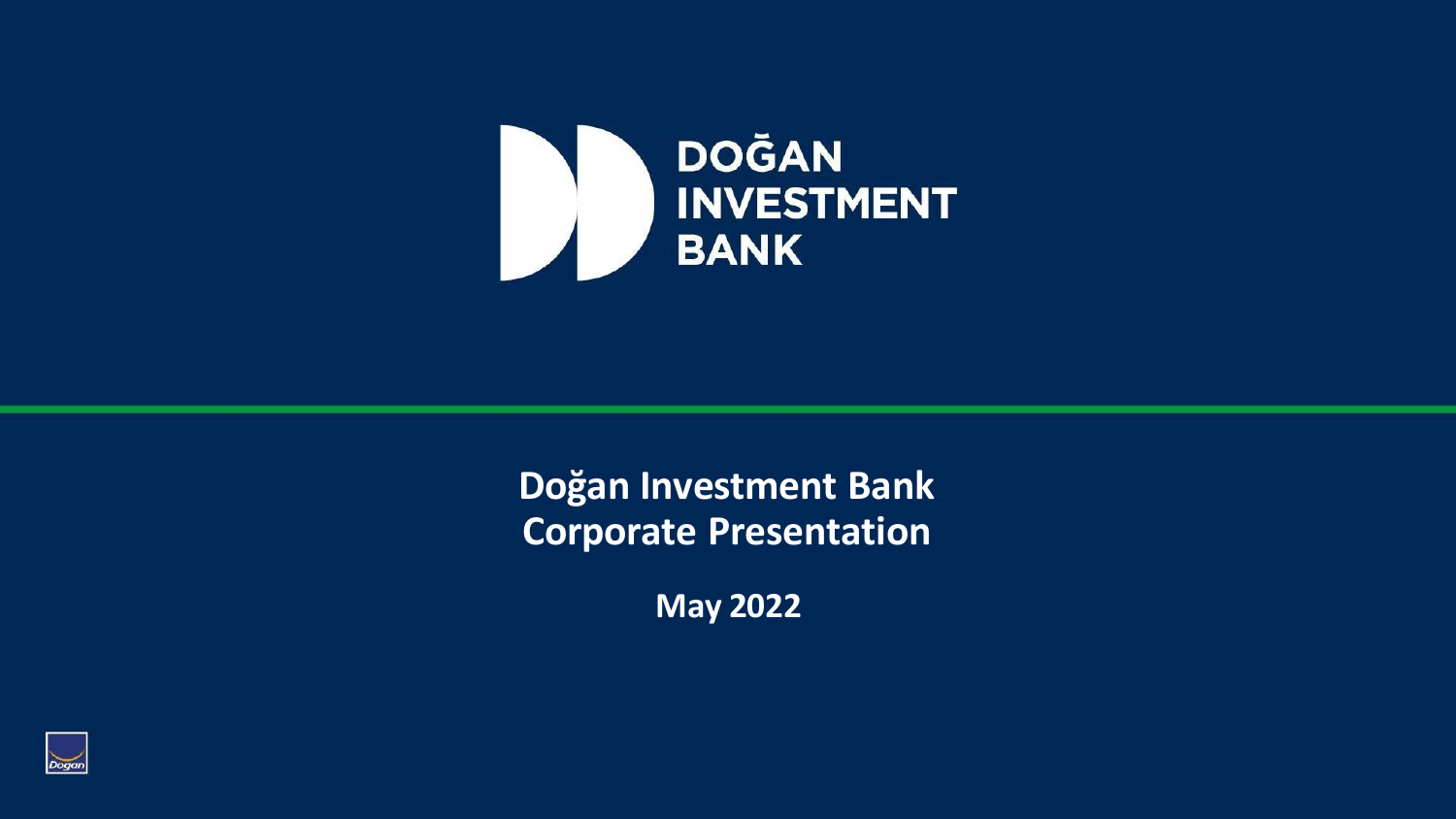

**Doğan Investment Bank Corporate Presentation**

**May 2022**

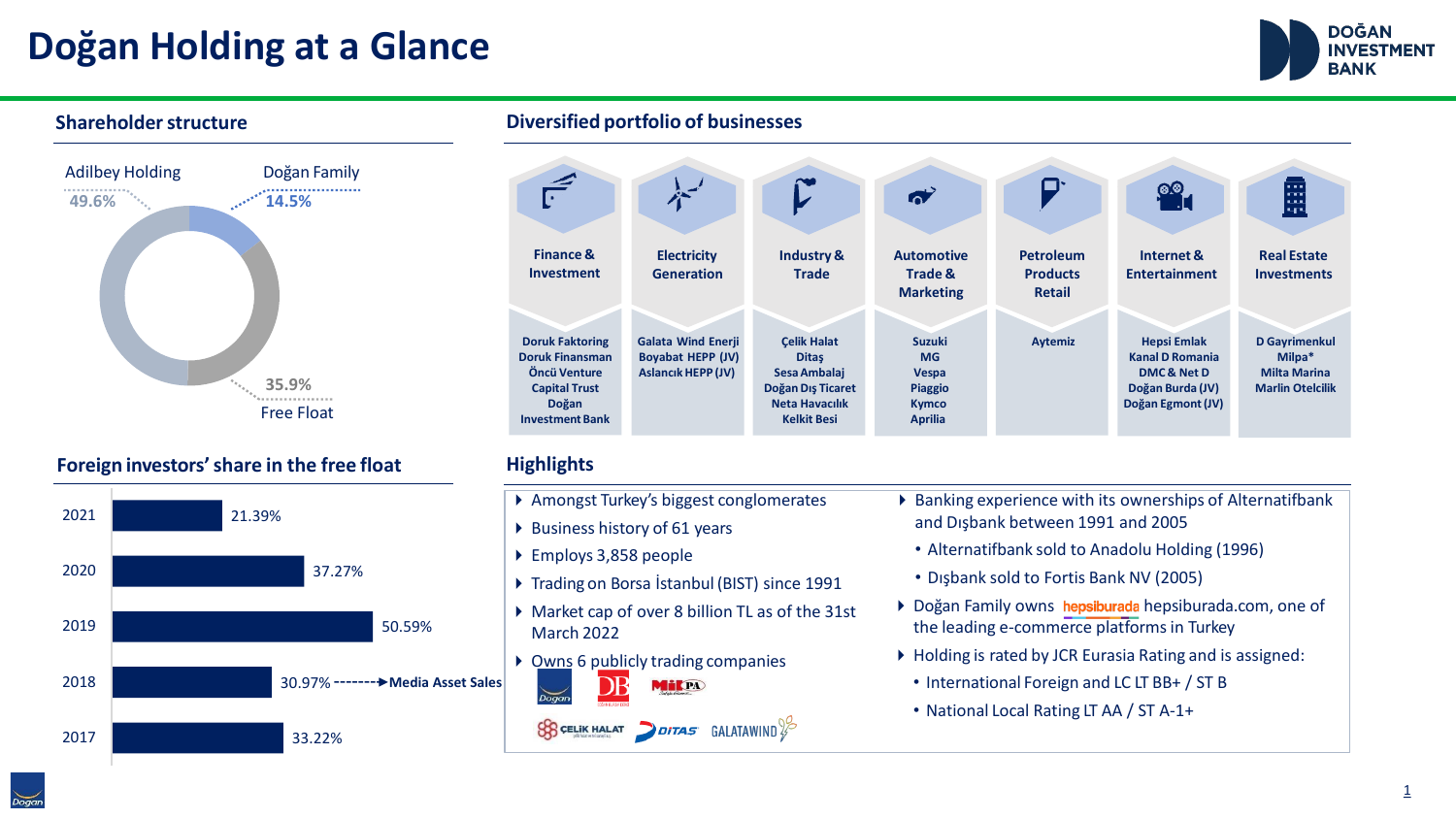# **Doğan Holding at a Glance**





#### **Foreign investors'share in the free float**



**Shareholderstructure Diversified portfolio of businesses**



#### **Highlights**

- ▶ Amongst Turkey's biggest conglomerates
- ▶ Business history of 61 years
- ▶ Employs 3,858 people
- ▶ Trading on Borsa İstanbul (BIST) since 1991
- ▶ Market cap of over 8 billion TL as of the 31st March 2022
- ▶ Owns 6 publicly trading companies MilPA

 $\mathcal{G}_3$  CELIK HALAT DITAS GALATAWIND  $\frac{1}{2}$ 

- ▶ Banking experience with its ownerships of Alternatifbank and Dışbank between 1991 and 2005
	- Alternatifbank sold to Anadolu Holding (1996)
	- Dışbank sold to Fortis Bank NV (2005)
- ▶ Doğan Family owns hepsiburada hepsiburada.com, one of the leading e-commerce platformsin Turkey
- ▶ Holding is rated by JCR Eurasia Rating and is assigned:
- International Foreign and LC LT BB+ / ST B
- National Local Rating LT AA / ST A-1+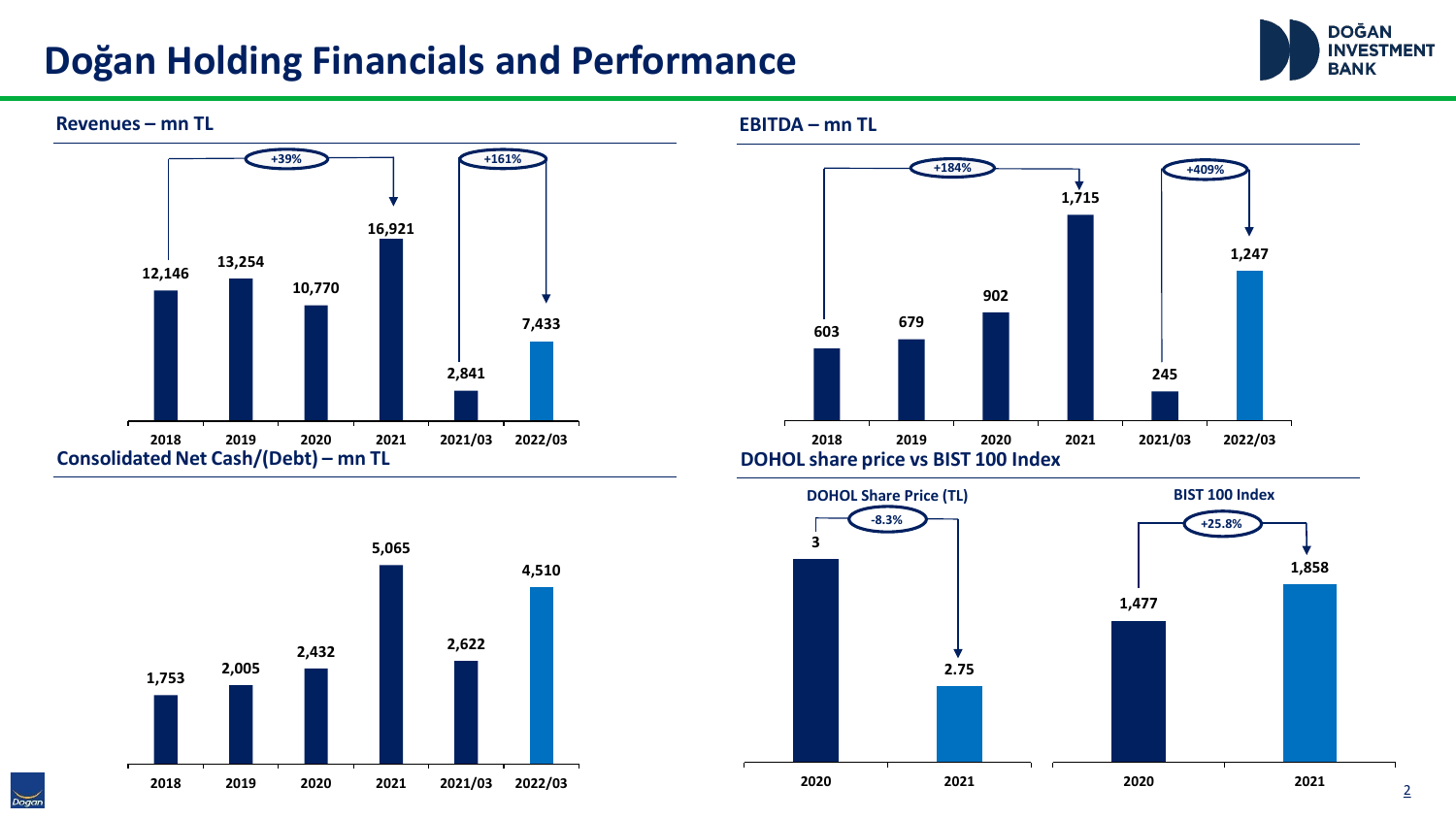### **Doğan Holding Financials and Performance**



2









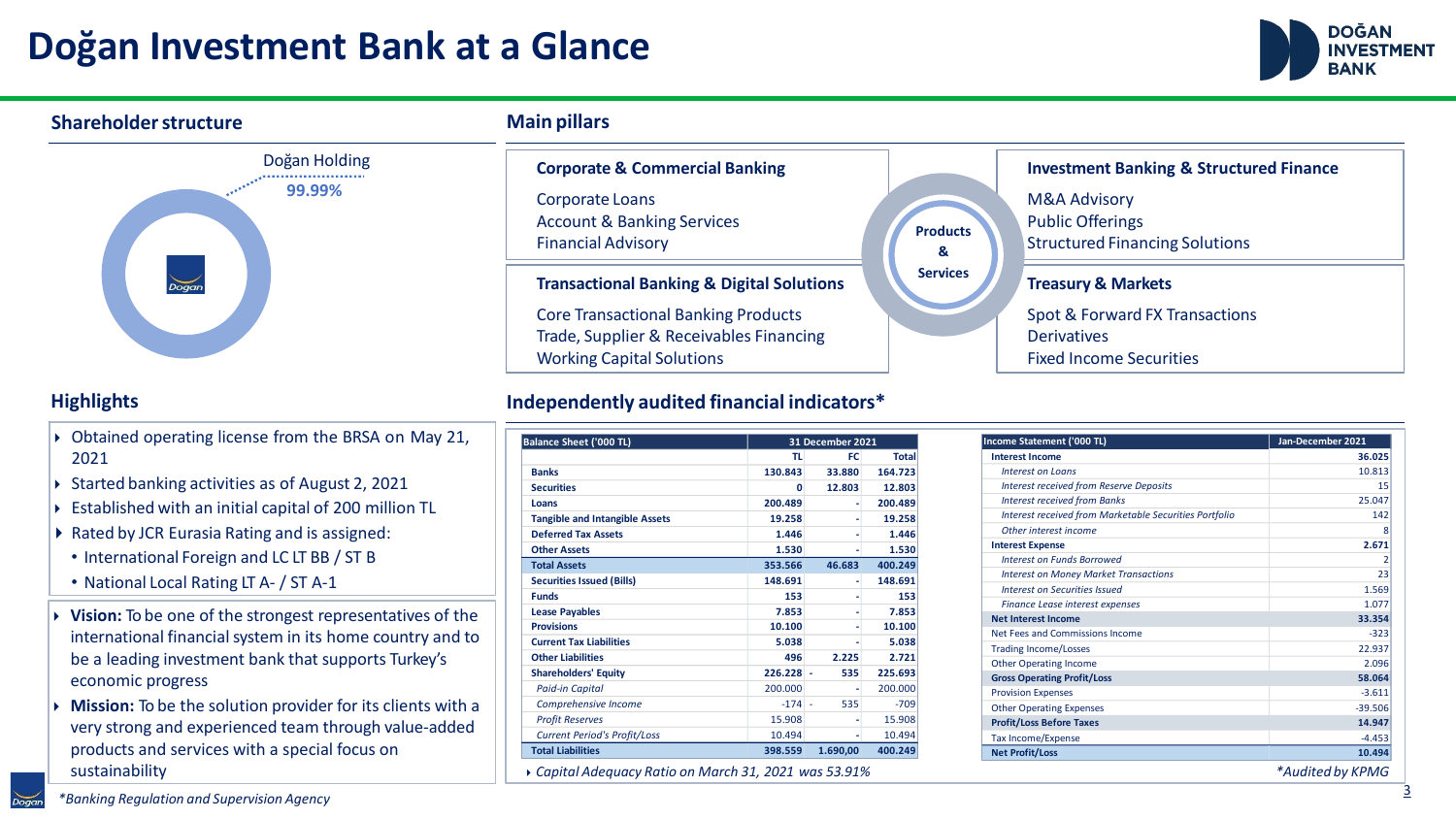### **Doğan Investment Bank at a Glance**



#### Doğan Holding **99.99% Treasury & Markets** Spot & Forward FX Transactions **Derivatives** Fixed Income Securities **Investment Banking & Structured Finance** M&A Advisory Public Offerings Structured Financing Solutions **Transactional Banking & Digital Solutions** Core Transactional Banking Products Trade, Supplier & Receivables Financing **Corporate & Commercial Banking** Corporate Loans Account & Banking Services Financial Advisory **Products & Services Shareholder structure Main Main** pillars

#### **Highlights**

- ▶ Obtained operating license from the BRSA on May 21, 2021
- ▶ Started banking activities as of August 2, 2021
- ▶ Established with an initial capital of 200 million TL
- ▶ Rated by JCR Eurasia Rating and is assigned:
	- International Foreign and LC LT BB / ST B
	- National Local Rating LT A- / ST A-1
- ⏵ **Vision:** To be one of the strongest representatives of the international financial system in its home country and to be a leading investment bank that supports Turkey's economic progress
- ⏵ **Mission:** To be the solution provider for its clients with a very strong and experienced team through value-added products and services with a special focus on sustainability

Working Capital Solutions

#### **Independently audited financial indicators\***

| <b>Balance Sheet ('000 TL)</b>        |              | 31 December 2021 |                            |
|---------------------------------------|--------------|------------------|----------------------------|
|                                       | <b>TL</b>    | FC.              | <b>Total</b>               |
| <b>Banks</b>                          | 130.843      | 33.880           | 164.723                    |
| <b>Securities</b>                     | O            | 12.803           | 12.803                     |
| Loans                                 | 200.489      | ٠                | 200.489<br>19.258<br>1.446 |
| <b>Tangible and Intangible Assets</b> | 19.258       | ۰<br>۰           |                            |
| <b>Deferred Tax Assets</b>            | 1.446        |                  |                            |
| <b>Other Assets</b>                   | 1.530        | ۰                | 1.530                      |
| <b>Total Assets</b>                   | 353.566      | 46.683           | 400.249                    |
| <b>Securities Issued (Bills)</b>      | 148.691      | ٠                | 148.691                    |
| <b>Funds</b>                          | 153<br>7.853 | ۰                | 153<br>7.853               |
| <b>Lease Payables</b>                 |              |                  |                            |
| <b>Provisions</b>                     | 10.100       | ۰                | 10.100                     |
| <b>Current Tax Liabilities</b>        | 5.038        |                  | 5.038                      |
| <b>Other Liabilities</b>              | 496          | 2.225            | 2.721                      |
| <b>Shareholders' Equity</b>           | $226.228 -$  | 535              | 225.693                    |
| <b>Paid-in Capital</b>                | 200.000      | ٠                | 200.000                    |
| Comprehensive Income                  | $-174 -$     | 535              | $-709$                     |
| <b>Profit Reserves</b>                | 15.908       |                  | 15.908                     |
| <b>Current Period's Profit/Loss</b>   | 10.494       | ۰                | 10.494                     |
| <b>Total Liabilities</b>              | 398.559      | 1.690,00         | 400.249                    |

⏵*Capital Adequacy Ratio on March 31, 2021 was 53.91% \*Audited by KPMG*

| indicators*      |        |              |                                                        |                   |  |  |
|------------------|--------|--------------|--------------------------------------------------------|-------------------|--|--|
| 31 December 2021 |        |              | Income Statement ('000 TL)                             | Jan-December 2021 |  |  |
| TL               | FC.    | <b>Total</b> | <b>Interest Income</b>                                 | 36.025            |  |  |
| 43               | 33.880 | 164.723      | <b>Interest on Loans</b>                               | 10.813            |  |  |
| 0                | 12.803 | 12.803       | <b>Interest received from Reserve Deposits</b>         | 15                |  |  |
| 89               |        | 200.489      | <b>Interest received from Banks</b>                    | 25.047            |  |  |
| 58               |        | 19.258       | Interest received from Marketable Securities Portfolio | 142               |  |  |
| 46               |        | 1.446        | Other interest income                                  | 8                 |  |  |
| 30               |        | 1.530        | <b>Interest Expense</b>                                | 2.671             |  |  |
| 66               | 46.683 | 400.249      | <b>Interest on Funds Borrowed</b>                      |                   |  |  |
| 91               |        | 148.691      | <b>Interest on Money Market Transactions</b>           | 23                |  |  |
| 53               |        | 153          | Interest on Securities Issued                          | 1.569             |  |  |
| 53               |        | 7.853        | Finance Lease interest expenses                        | 1.077             |  |  |
|                  |        |              | <b>Net Interest Income</b>                             | 33.354            |  |  |
| 00               |        | 10.100       | Net Fees and Commissions Income                        | $-323$            |  |  |
| 38               |        | 5.038        | <b>Trading Income/Losses</b>                           | 22.937            |  |  |
| 96               | 2.225  | 2.721        | <b>Other Operating Income</b>                          | 2.096             |  |  |
| $28 -$           | 535    | 225.693      | <b>Gross Operating Profit/Loss</b>                     | 58.064            |  |  |
| 00               |        | 200.000      | <b>Provision Expenses</b>                              | $-3.611$          |  |  |
|                  |        |              |                                                        |                   |  |  |

Other Operating Expenses -39.506 **Profit/Loss Before Taxes 14.947** Tax Income/Expense -4.453 **Net Profit/Loss 10.494**

*\*Banking Regulation and Supervision Agency*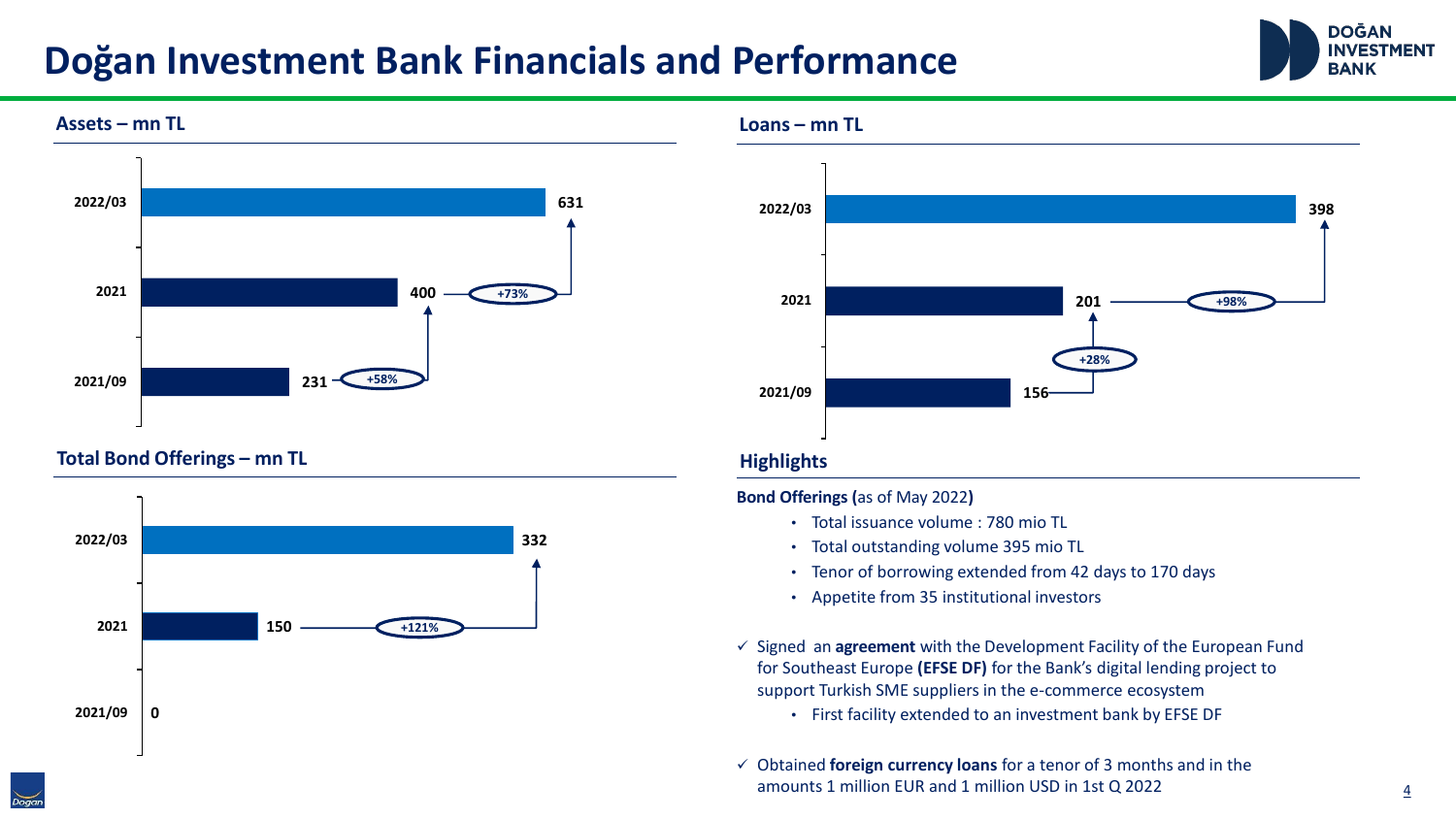### **Doğan Investment Bank Financials and Performance**





**Total Bond Offerings – mn TL**



**Loans – mn TL**



#### **Highlights**

**Bond Offerings (**as of May 2022**)**

- Total issuance volume : 780 mio TL
- Total outstanding volume 395 mio TL
- Tenor of borrowing extended from 42 days to 170 days
- Appetite from 35 institutional investors
- ✓ Signed an **agreement** with the Development Facility of the European Fund for Southeast Europe **(EFSE DF)** for the Bank's digital lending project to support Turkish SME suppliers in the e-commerce ecosystem
	- First facility extended to an investment bank by EFSE DF
- ✓ Obtained **foreign currency loans** for a tenor of 3 months and in the amounts 1 million EUR and 1 million USD in 1st Q 2022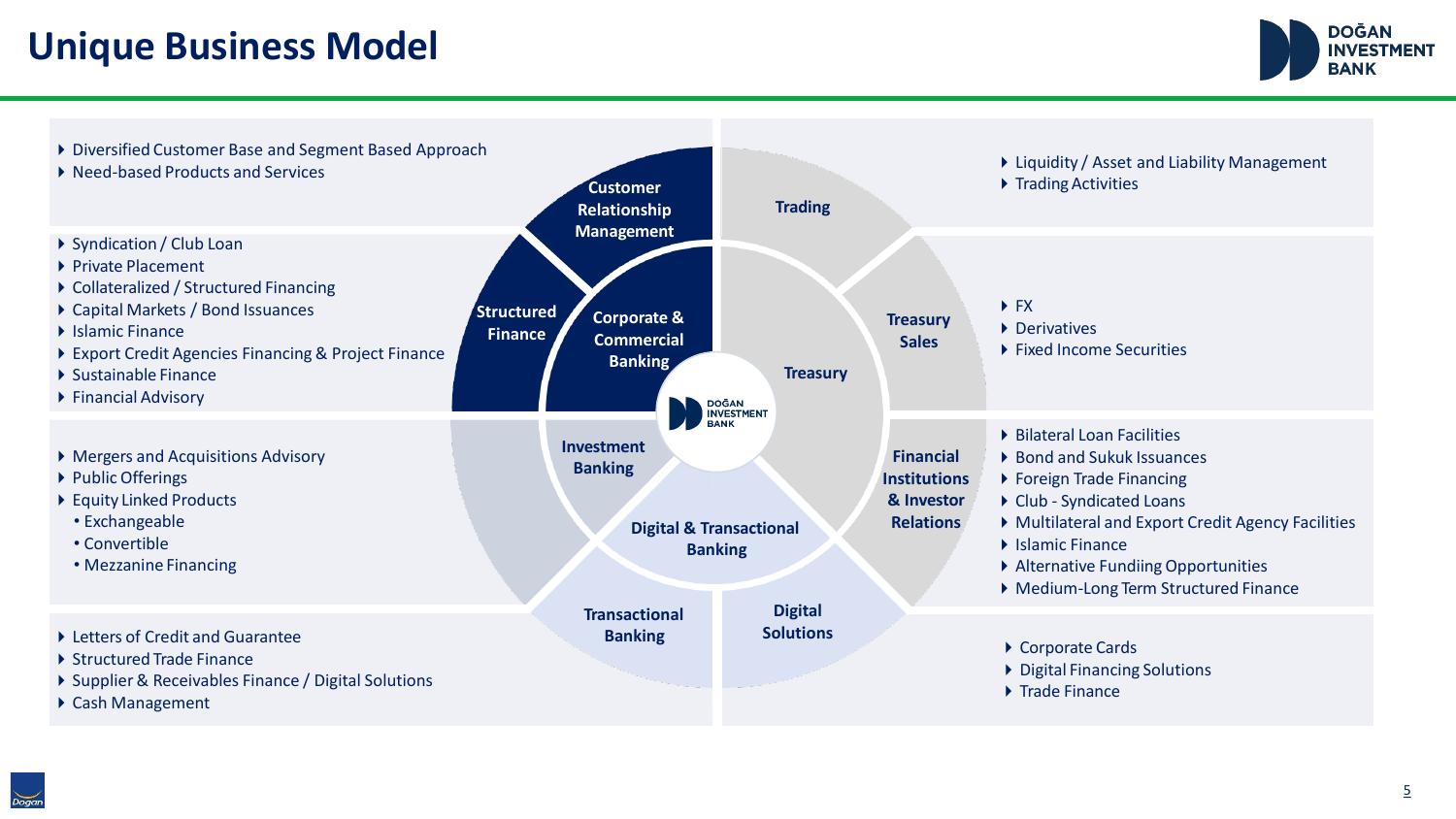**Unique Business Model**



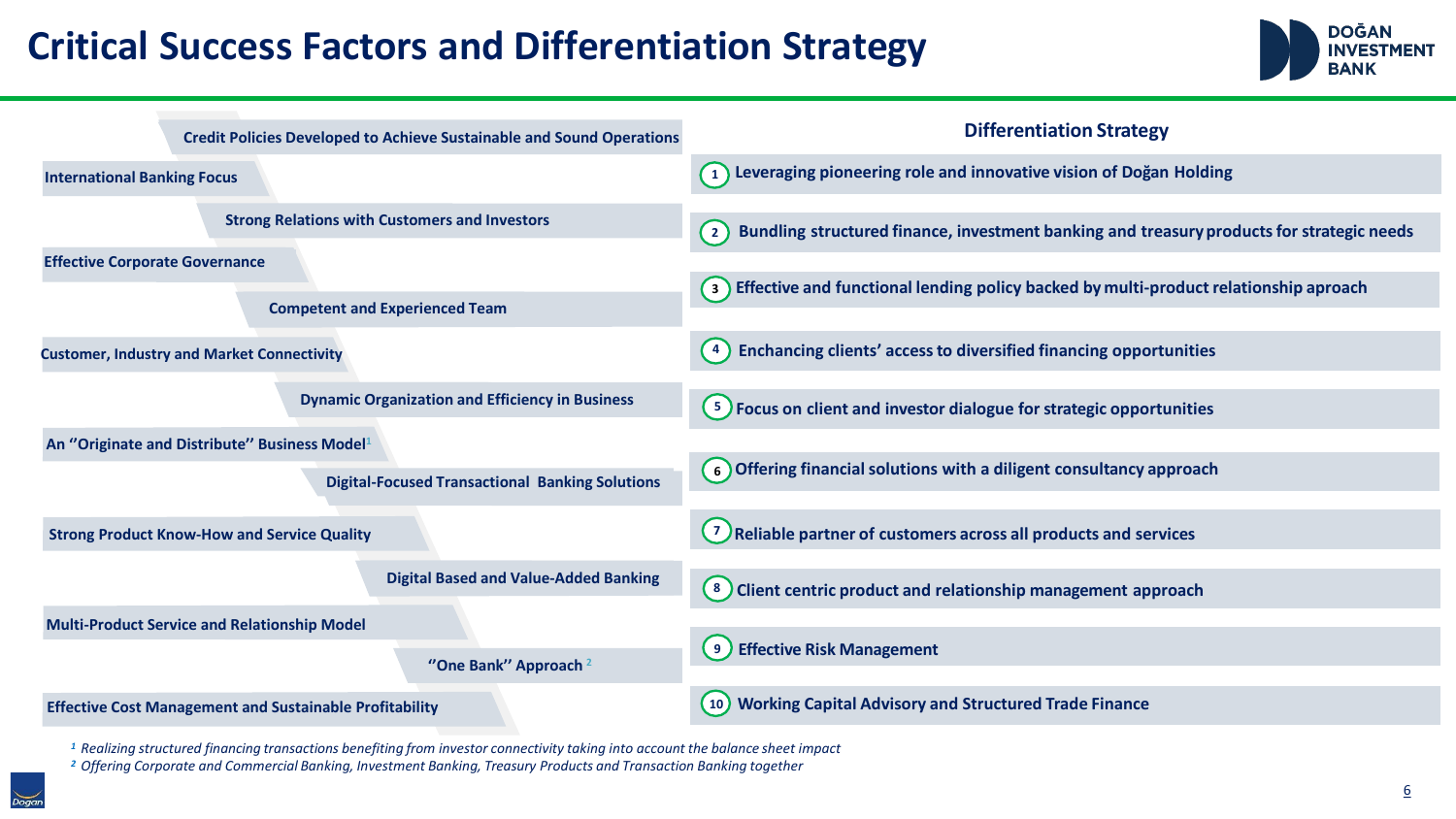## **Critical Success Factors and Differentiation Strategy**



| <b>Credit Policies Developed to Achieve Sustainable and Sound Operations</b> | <b>Differentiation Strategy</b>                                                                             |
|------------------------------------------------------------------------------|-------------------------------------------------------------------------------------------------------------|
| <b>International Banking Focus</b>                                           | $\left( 1\right)$ Leveraging pioneering role and innovative vision of Doğan Holding                         |
| <b>Strong Relations with Customers and Investors</b>                         | Bundling structured finance, investment banking and treasury products for strategic needs<br>$\binom{2}{2}$ |
| <b>Effective Corporate Governance</b>                                        |                                                                                                             |
| <b>Competent and Experienced Team</b>                                        | (3) Effective and functional lending policy backed by multi-product relationship aproach                    |
| <b>Customer, Industry and Market Connectivity</b>                            | Enchancing clients' access to diversified financing opportunities                                           |
| <b>Dynamic Organization and Efficiency in Business</b>                       | $\left(3\right)$ Focus on client and investor dialogue for strategic opportunities                          |
| An "Originate and Distribute" Business Model <sup>1</sup>                    |                                                                                                             |
| <b>Digital-Focused Transactional Banking Solutions</b>                       | (6) Offering financial solutions with a diligent consultancy approach                                       |
| <b>Strong Product Know-How and Service Quality</b>                           | <sup>7</sup> Reliable partner of customers across all products and services                                 |
| <b>Digital Based and Value-Added Banking</b>                                 | $\left(8\right)$ Client centric product and relationship management approach                                |
| <b>Multi-Product Service and Relationship Model</b>                          |                                                                                                             |
| "One Bank" Approach <sup>2</sup>                                             | (9) Effective Risk Management                                                                               |
| <b>Effective Cost Management and Sustainable Profitability</b>               | <b>Working Capital Advisory and Structured Trade Finance</b><br>(10)                                        |

<sup>1</sup> Realizing structured financing transactions benefiting from investor connectivity taking into account the balance sheet impact

*<sup>2</sup>Offering Corporate and Commercial Banking, Investment Banking, Treasury Products and Transaction Banking together*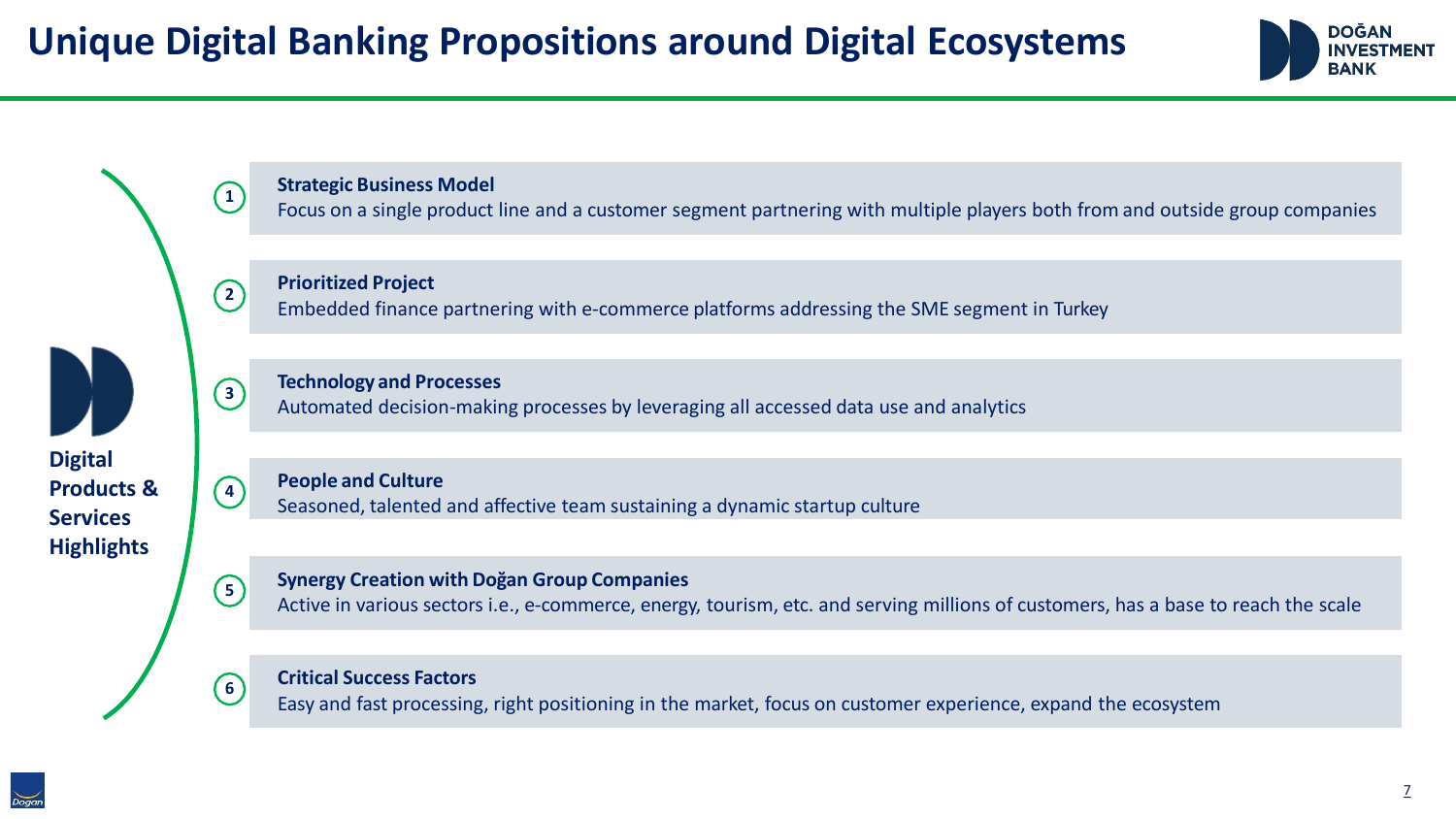



Focus on a single product line and a customer segment partnering with multiple players both from and outside group companies

**Prioritized Project**

**1**

**2**

**3**

**4**

**5**

**6**

Embedded finance partnering with e-commerce platforms addressing the SME segment in Turkey



#### **Technology and Processes**

Automated decision-making processes by leveraging all accessed data use and analytics

**Digital Products & Services Highlights**

**People and Culture** Seasoned, talented and affective team sustaining a dynamic startup culture

**Synergy Creation with Doğan Group Companies**

Active in various sectors i.e., e-commerce, energy, tourism, etc. and serving millions of customers, has a base to reach the scale

#### **Critical Success Factors**

Easy and fast processing, right positioning in the market, focus on customer experience, expand the ecosystem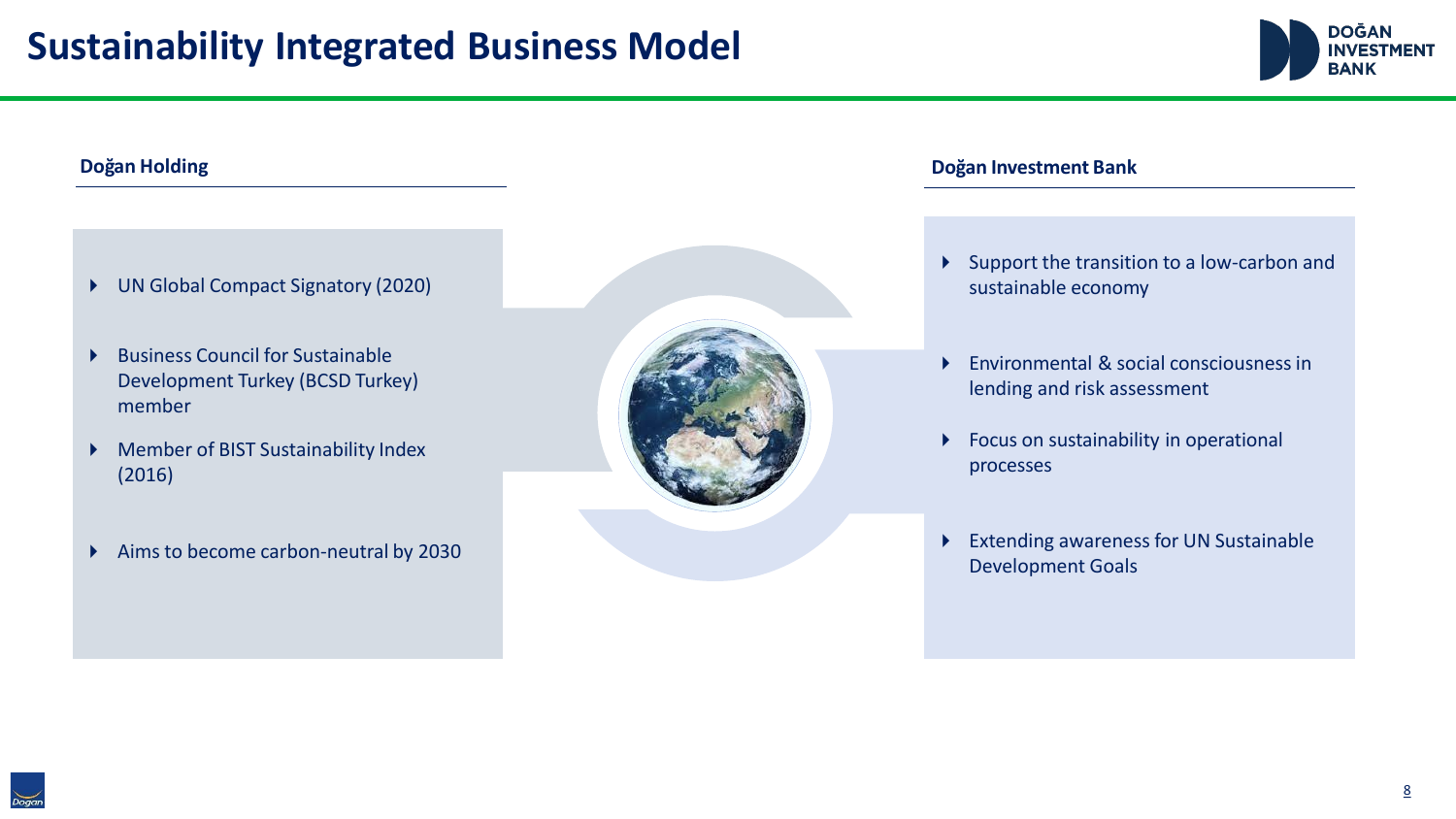

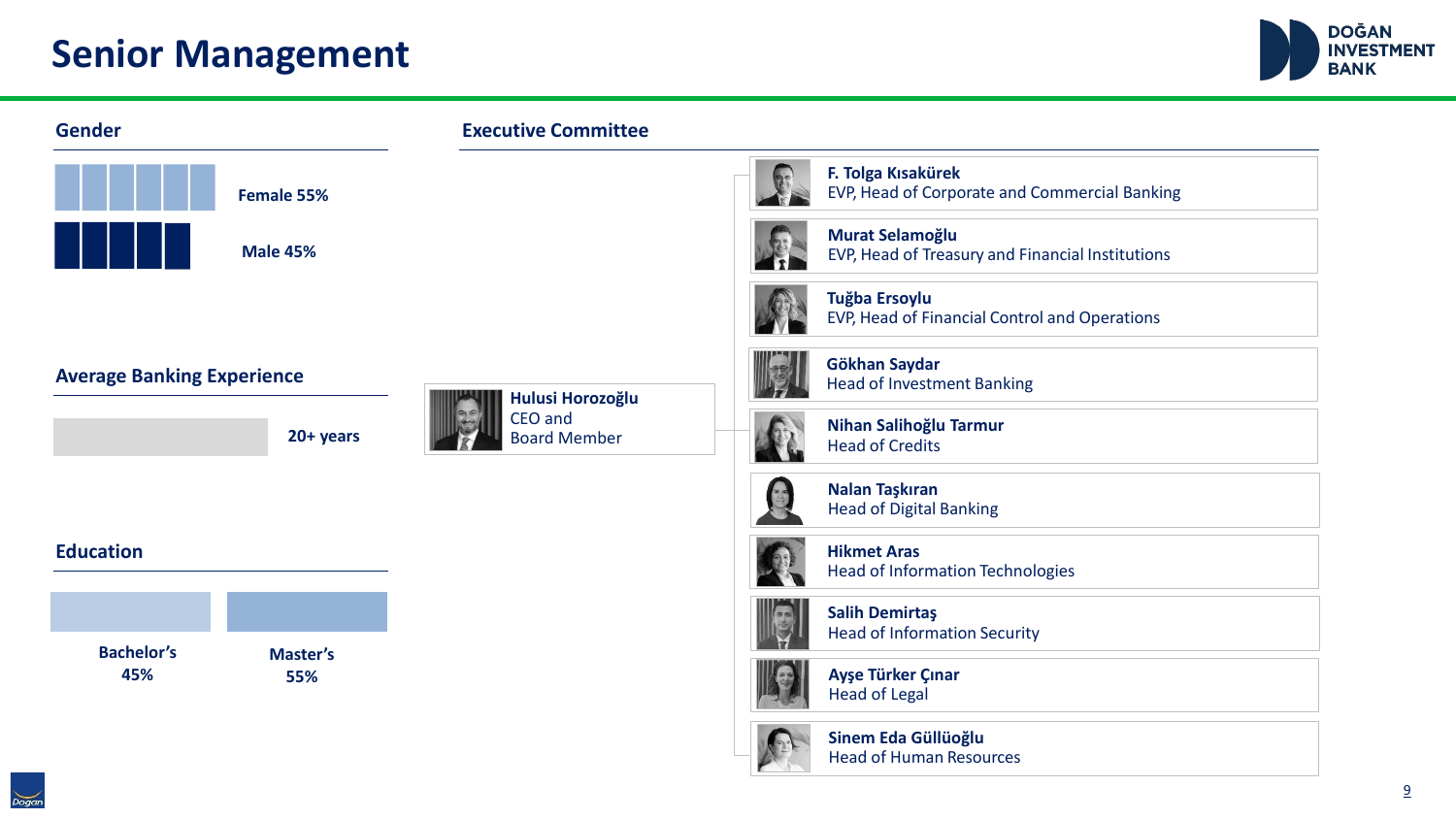### **Senior Management**



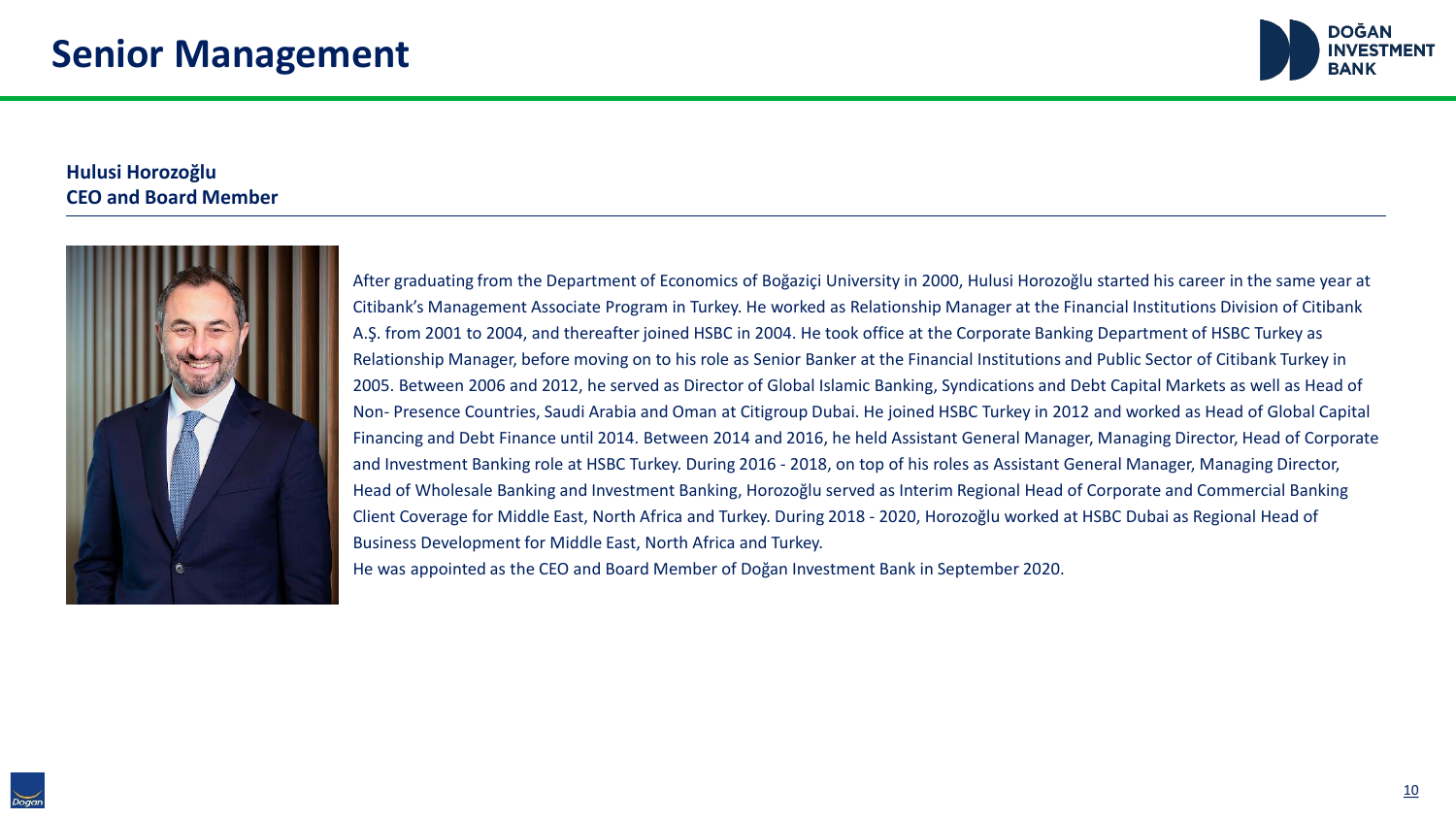

#### **Hulusi Horozoğlu CEO and Board Member**



After graduating from the Department of Economics of Boğaziçi University in 2000, Hulusi Horozoğlu started his career in the same year at Citibank's Management Associate Program in Turkey. He worked as Relationship Manager at the Financial Institutions Division of Citibank A.Ş. from 2001 to 2004, and thereafter joined HSBC in 2004. He took office at the Corporate Banking Department of HSBC Turkey as Relationship Manager, before moving on to his role as Senior Banker at the Financial Institutions and Public Sector of Citibank Turkey in 2005. Between 2006 and 2012, he served as Director of Global Islamic Banking, Syndications and Debt Capital Markets as well as Head of Non- Presence Countries, Saudi Arabia and Oman at Citigroup Dubai. He joined HSBC Turkey in 2012 and worked as Head of Global Capital Financing and Debt Finance until 2014. Between 2014 and 2016, he held Assistant General Manager, Managing Director, Head of Corporate and Investment Banking role at HSBC Turkey. During 2016 - 2018, on top of his roles as Assistant General Manager, Managing Director, Head of Wholesale Banking and Investment Banking, Horozoğlu served as Interim Regional Head of Corporate and Commercial Banking Client Coverage for Middle East, North Africa and Turkey. During 2018 - 2020, Horozoğlu worked at HSBC Dubai as Regional Head of Business Development for Middle East, North Africa and Turkey.

He was appointed as the CEO and Board Member of Doğan Investment Bank in September 2020.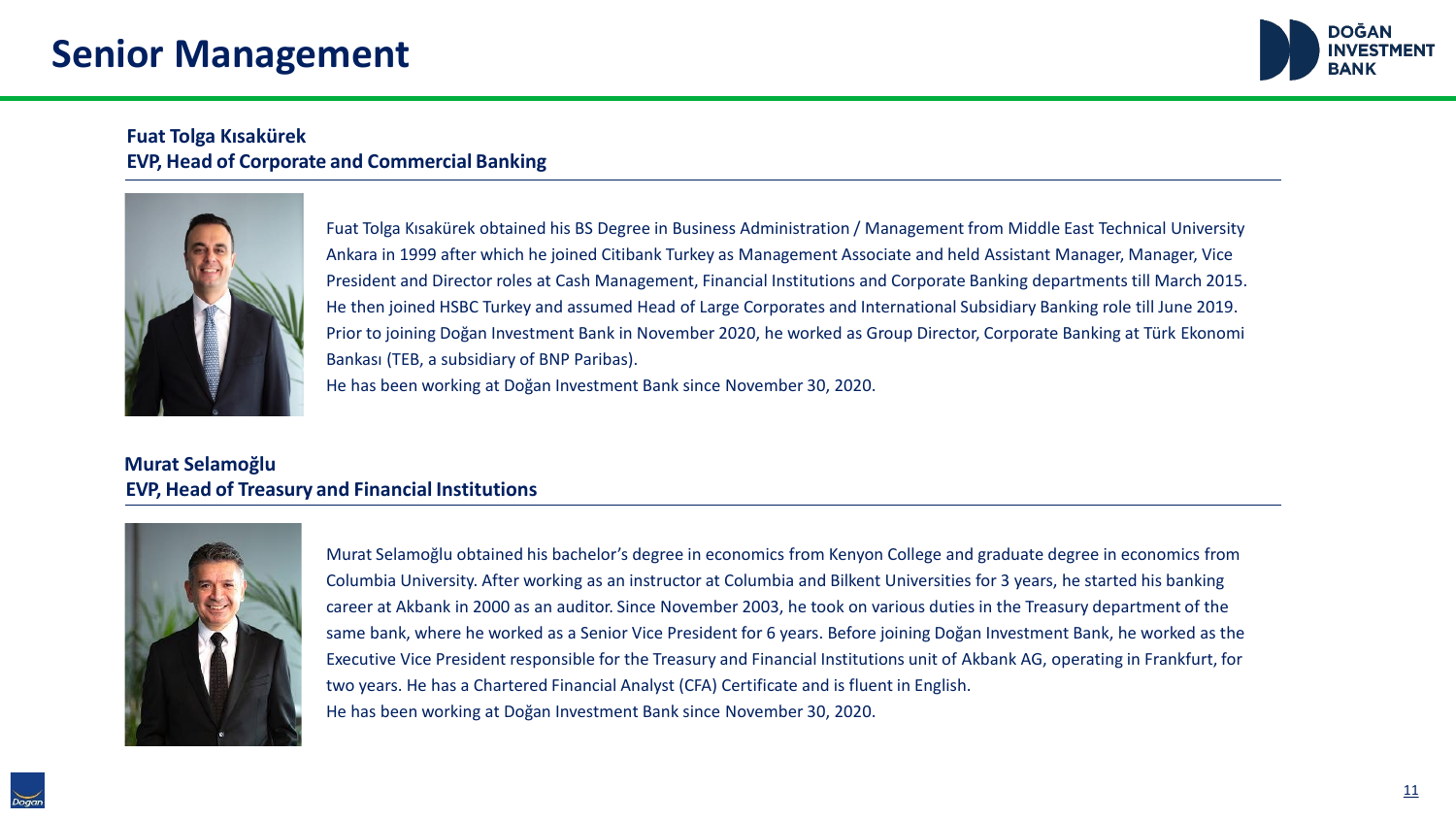### **Senior Management**



#### **Fuat Tolga Kısakürek EVP, Head of Corporate and Commercial Banking**



Fuat Tolga Kısakürek obtained his BS Degree in Business Administration / Management from Middle East Technical University Ankara in 1999 after which he joined Citibank Turkey as Management Associate and held Assistant Manager, Manager, Vice President and Director roles at Cash Management, Financial Institutions and Corporate Banking departments till March 2015. He then joined HSBC Turkey and assumed Head of Large Corporates and International Subsidiary Banking role till June 2019. Prior to joining Doğan Investment Bank in November 2020, he worked as Group Director, Corporate Banking at Türk Ekonomi Bankası (TEB, a subsidiary of BNP Paribas). He has been working at Doğan Investment Bank since November 30, 2020.

#### **Murat Selamoğlu EVP, Head of Treasury and Financial Institutions**



Murat Selamoğlu obtained his bachelor's degree in economics from Kenyon College and graduate degree in economics from Columbia University. After working as an instructor at Columbia and Bilkent Universities for 3 years, he started his banking career at Akbank in 2000 as an auditor. Since November 2003, he took on various duties in the Treasury department of the same bank, where he worked as a Senior Vice President for 6 years. Before joining Doğan Investment Bank, he worked as the Executive Vice President responsible for the Treasury and Financial Institutions unit of Akbank AG, operating in Frankfurt, for two years. He has a Chartered Financial Analyst (CFA) Certificate and is fluent in English. He has been working at Doğan Investment Bank since November 30, 2020.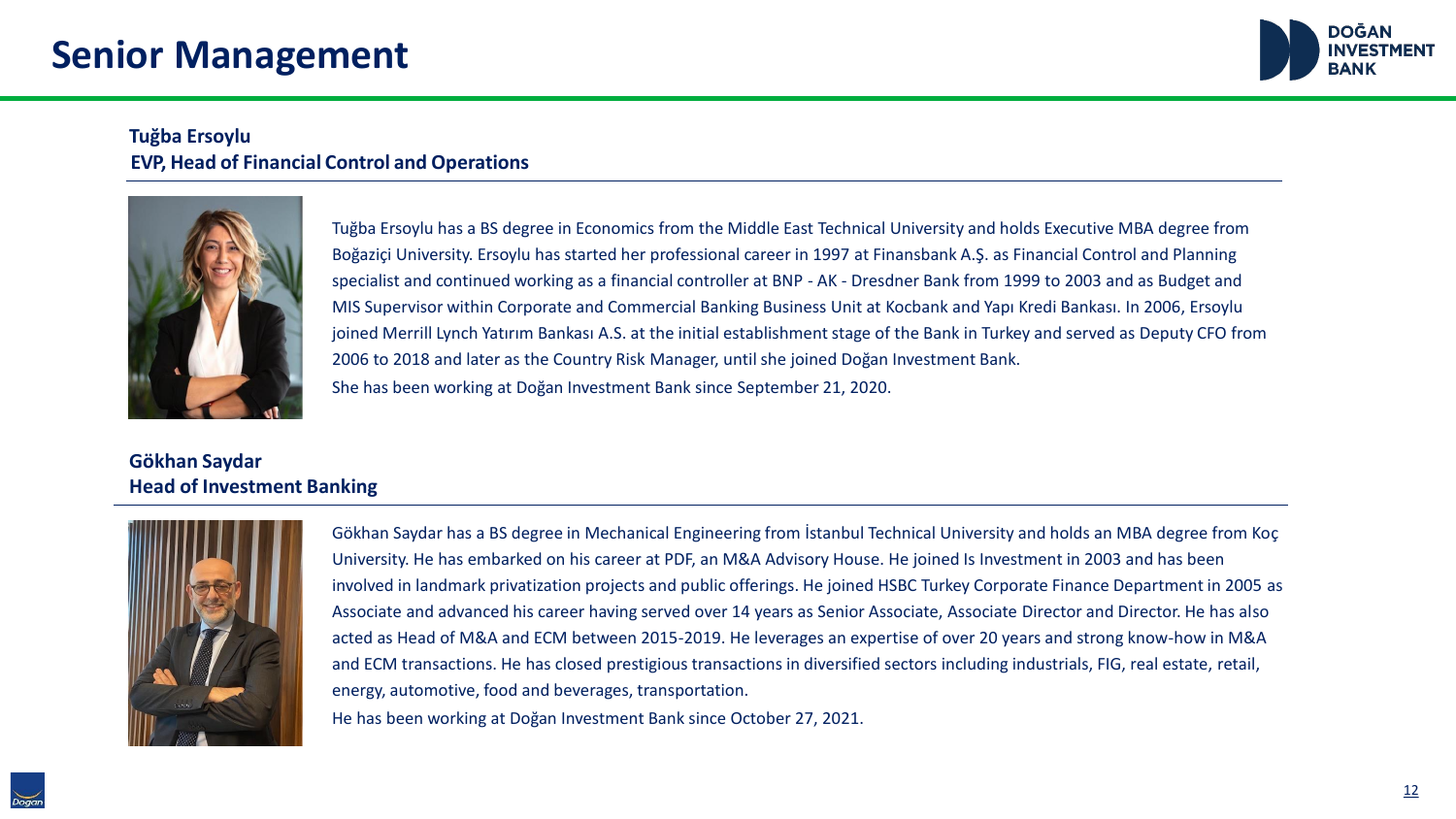

#### **Tuğba Ersoylu EVP, Head of Financial Control and Operations**



Tuğba Ersoylu has a BS degree in Economics from the Middle East Technical University and holds Executive MBA degree from Boğaziçi University. Ersoylu has started her professional career in 1997 at Finansbank A.Ş. as Financial Control and Planning specialist and continued working as a financial controller at BNP - AK - Dresdner Bank from 1999 to 2003 and as Budget and MIS Supervisor within Corporate and Commercial Banking Business Unit at Kocbank and Yapı Kredi Bankası. In 2006, Ersoylu joined Merrill Lynch Yatırım Bankası A.S. at the initial establishment stage of the Bank in Turkey and served as Deputy CFO from 2006 to 2018 and later as the Country Risk Manager, until she joined Doğan Investment Bank. She has been working at Doğan Investment Bank since September 21, 2020.

#### **Gökhan Saydar Head of Investment Banking**



Gökhan Saydar has a BS degree in Mechanical Engineering from İstanbul Technical University and holds an MBA degree from Koç University. He has embarked on his career at PDF, an M&A Advisory House. He joined Is Investment in 2003 and has been involved in landmark privatization projects and public offerings. He joined HSBC Turkey Corporate Finance Department in 2005 as Associate and advanced his career having served over 14 years as Senior Associate, Associate Director and Director. He has also acted as Head of M&A and ECM between 2015-2019. He leverages an expertise of over 20 years and strong know-how in M&A and ECM transactions. He has closed prestigious transactions in diversified sectors including industrials, FIG, real estate, retail, energy, automotive, food and beverages, transportation.

He has been working at Doğan Investment Bank since October 27, 2021.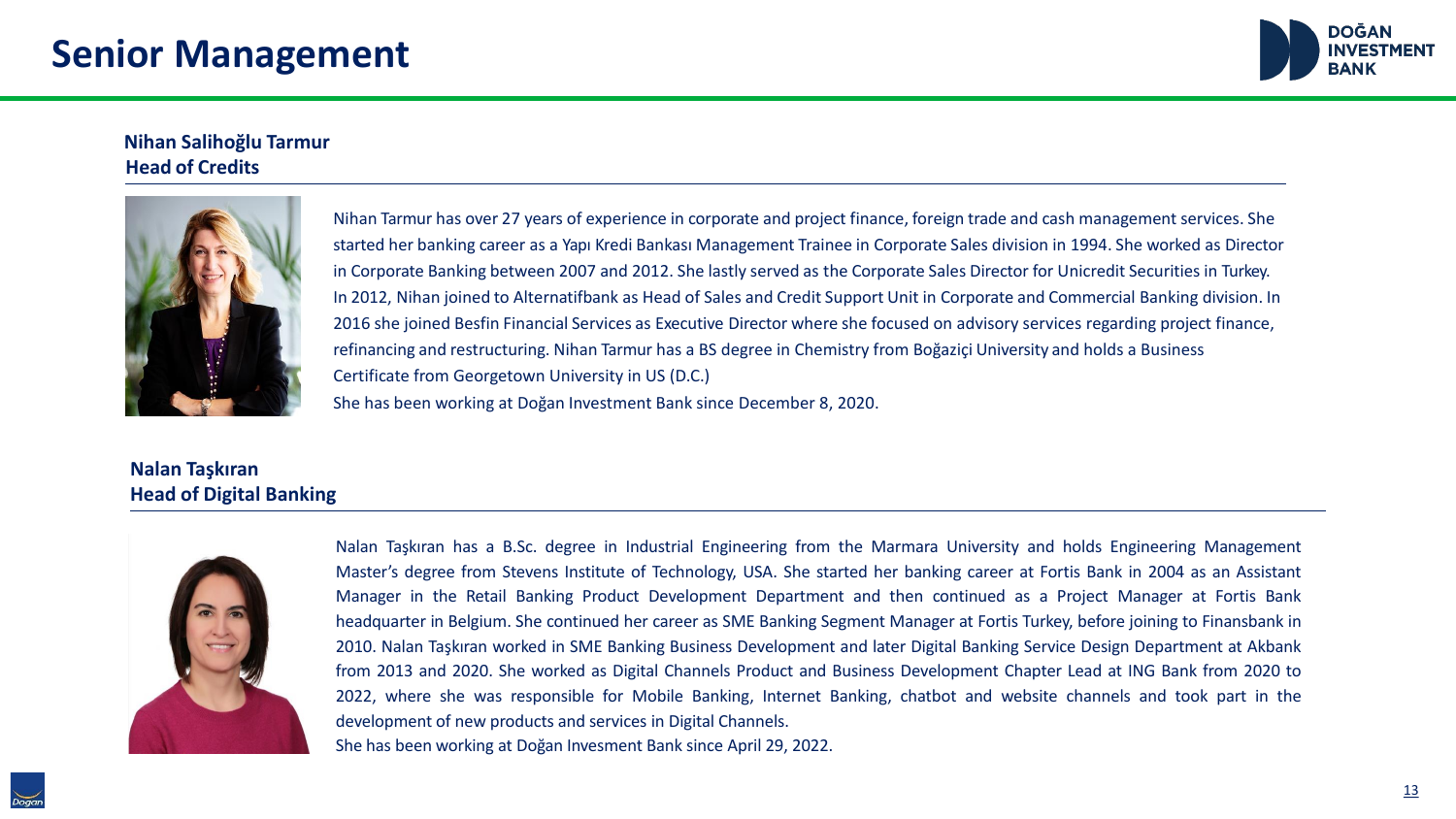### **Senior Management**



#### **Nihan Salihoğlu Tarmur Head of Credits**



Nihan Tarmur has over 27 years of experience in corporate and project finance, foreign trade and cash management services. She started her banking career as a Yapı Kredi Bankası Management Trainee in Corporate Sales division in 1994. She worked as Director in Corporate Banking between 2007 and 2012. She lastly served as the Corporate Sales Director for Unicredit Securities in Turkey. In 2012, Nihan joined to Alternatifbank as Head of Sales and Credit Support Unit in Corporate and Commercial Banking division. In 2016 she joined Besfin Financial Services as Executive Director where she focused on advisory services regarding project finance, refinancing and restructuring. Nihan Tarmur has a BS degree in Chemistry from Boğaziçi University and holds a Business Certificate from Georgetown University in US (D.C.) She has been working at Doğan Investment Bank since December 8, 2020.

### **Nalan Taşkıran Head of Digital Banking**



Nalan Taşkıran has a B.Sc. degree in Industrial Engineering from the Marmara University and holds Engineering Management Master's degree from Stevens Institute of Technology, USA. She started her banking career at Fortis Bank in 2004 as an Assistant Manager in the Retail Banking Product Development Department and then continued as a Project Manager at Fortis Bank headquarter in Belgium. She continued her career as SME Banking Segment Manager at Fortis Turkey, before joining to Finansbank in 2010. Nalan Taşkıran worked in SME Banking Business Development and later Digital Banking Service Design Department at Akbank from 2013 and 2020. She worked as Digital Channels Product and Business Development Chapter Lead at ING Bank from 2020 to 2022, where she was responsible for Mobile Banking, Internet Banking, chatbot and website channels and took part in the development of new products and services in Digital Channels.

She has been working at Doğan Invesment Bank since April 29, 2022.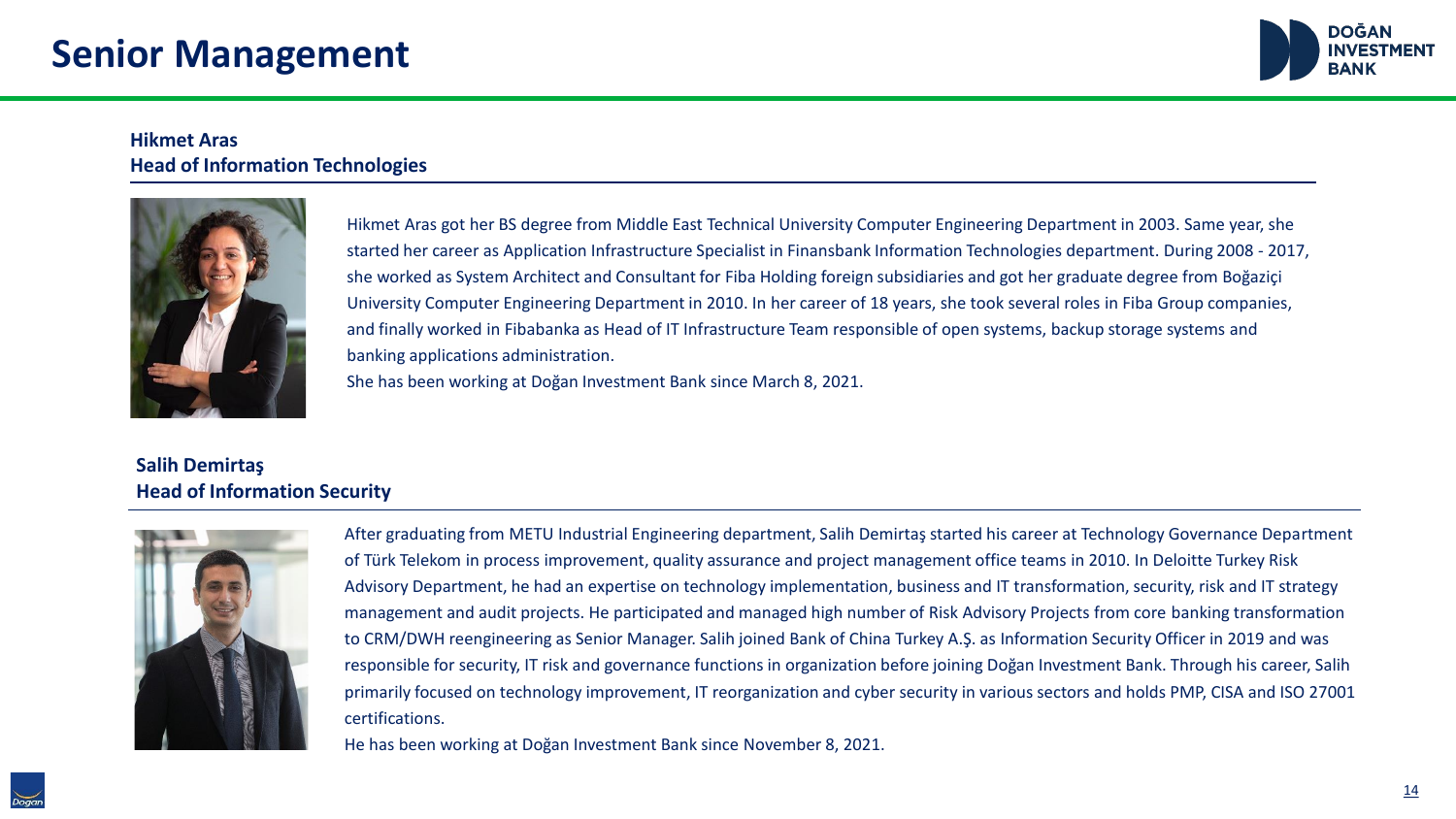

#### **Hikmet Aras Head of Information Technologies**



Hikmet Aras got her BS degree from Middle East Technical University Computer Engineering Department in 2003. Same year, she started her career as Application Infrastructure Specialist in Finansbank Information Technologies department. During 2008 - 2017, she worked as System Architect and Consultant for Fiba Holding foreign subsidiaries and got her graduate degree from Boğaziçi University Computer Engineering Department in 2010. In her career of 18 years, she took several roles in Fiba Group companies, and finally worked in Fibabanka as Head of IT Infrastructure Team responsible of open systems, backup storage systems and banking applications administration.

She has been working at Doğan Investment Bank since March 8, 2021.

### **Salih Demirtaş Head of Information Security**



After graduating from METU Industrial Engineering department, Salih Demirtaş started his career at Technology Governance Department of Türk Telekom in process improvement, quality assurance and project management office teams in 2010. In Deloitte Turkey Risk Advisory Department, he had an expertise on technology implementation, business and IT transformation, security, risk and IT strategy management and audit projects. He participated and managed high number of Risk Advisory Projects from core banking transformation to CRM/DWH reengineering as Senior Manager. Salih joined Bank of China Turkey A.Ş. as Information Security Officer in 2019 and was responsible for security, IT risk and governance functions in organization before joining Doğan Investment Bank. Through his career, Salih primarily focused on technology improvement, IT reorganization and cyber security in various sectors and holds PMP, CISA and ISO 27001 certifications.

He has been working at Doğan Investment Bank since November 8, 2021.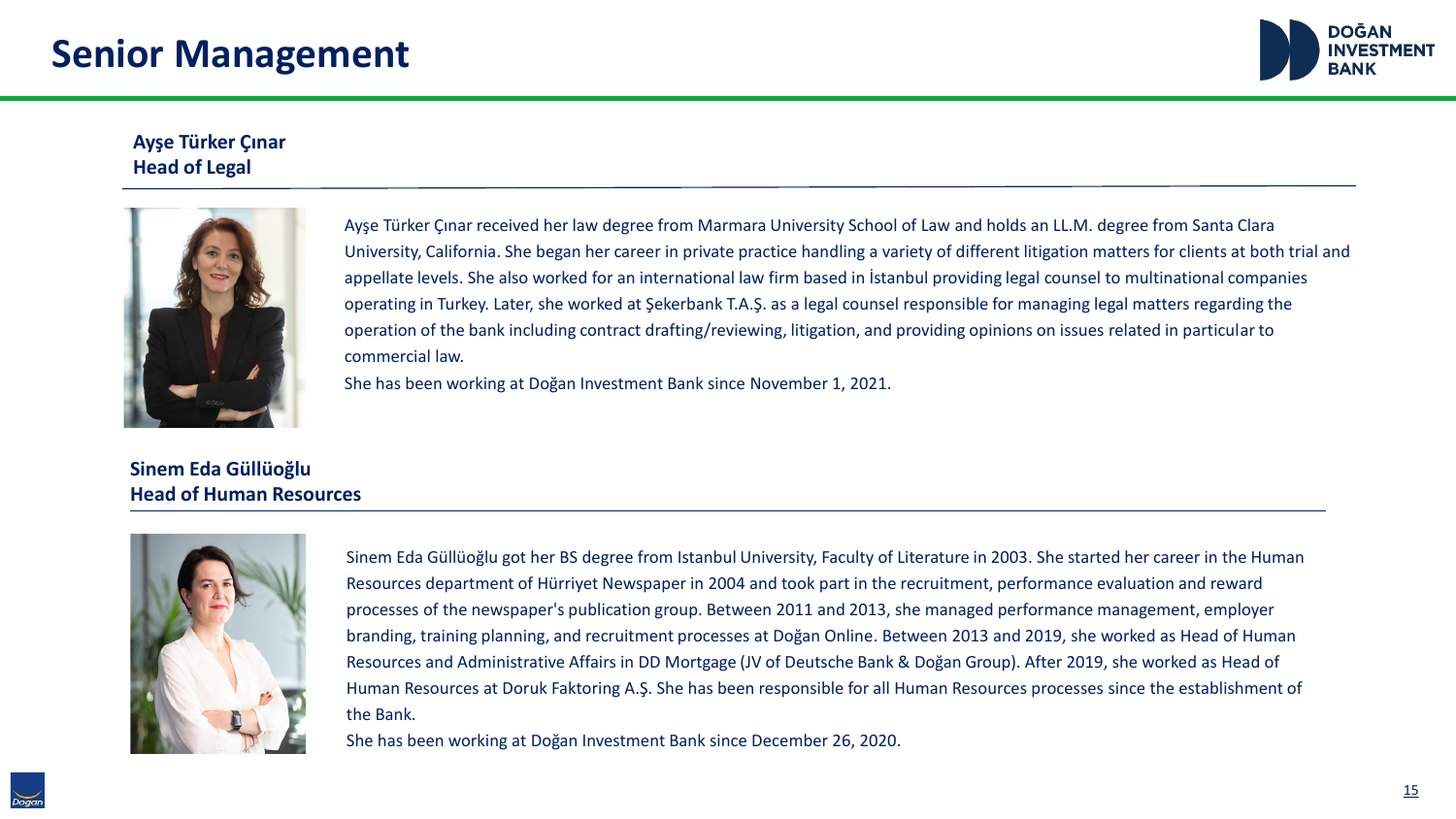

#### **Ayşe Türker Çınar Head of Legal**



Ayşe Türker Çınar received her law degree from Marmara University School of Law and holds an LL.M. degree from Santa Clara University, California. She began her career in private practice handling a variety of different litigation matters for clients at both trial and appellate levels. She also worked for an international law firm based in İstanbul providing legal counsel to multinational companies operating in Turkey. Later, she worked at Şekerbank T.A.Ş. as a legal counsel responsible for managing legal matters regarding the operation of the bank including contract drafting/reviewing, litigation, and providing opinions on issues related in particular to commercial law.

She has been working at Doğan Investment Bank since November 1, 2021.

#### **Sinem Eda Güllüoğlu Head of Human Resources**



Sinem Eda Güllüoğlu got her BS degree from Istanbul University, Faculty of Literature in 2003. She started her career in the Human Resources department of Hürriyet Newspaper in 2004 and took part in the recruitment, performance evaluation and reward processes of the newspaper's publication group. Between 2011 and 2013, she managed performance management, employer branding, training planning, and recruitment processes at Doğan Online. Between 2013 and 2019, she worked as Head of Human Resources and Administrative Affairs in DD Mortgage (JV of Deutsche Bank & Doğan Group). After 2019, she worked as Head of Human Resources at Doruk Faktoring A.Ş. She has been responsible for all Human Resources processes since the establishment of the Bank.

She has been working at Doğan Investment Bank since December 26, 2020.